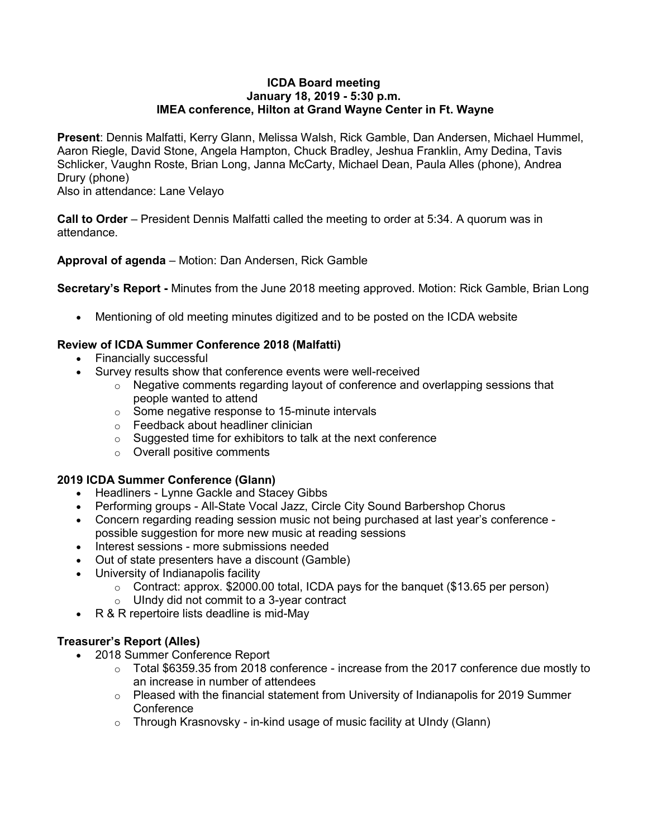#### **ICDA Board meeting January 18, 2019 - 5:30 p.m. IMEA conference, Hilton at Grand Wayne Center in Ft. Wayne**

**Present**: Dennis Malfatti, Kerry Glann, Melissa Walsh, Rick Gamble, Dan Andersen, Michael Hummel, Aaron Riegle, David Stone, Angela Hampton, Chuck Bradley, Jeshua Franklin, Amy Dedina, Tavis Schlicker, Vaughn Roste, Brian Long, Janna McCarty, Michael Dean, Paula Alles (phone), Andrea Drury (phone)

Also in attendance: Lane Velayo

**Call to Order** – President Dennis Malfatti called the meeting to order at 5:34. A quorum was in attendance.

**Approval of agenda** – Motion: Dan Andersen, Rick Gamble

**Secretary's Report -** Minutes from the June 2018 meeting approved. Motion: Rick Gamble, Brian Long

• Mentioning of old meeting minutes digitized and to be posted on the ICDA website

## **Review of ICDA Summer Conference 2018 (Malfatti)**

- Financially successful
- Survey results show that conference events were well-received
	- $\circ$  Negative comments regarding layout of conference and overlapping sessions that people wanted to attend
	- o Some negative response to 15-minute intervals
	- o Feedback about headliner clinician
	- o Suggested time for exhibitors to talk at the next conference
	- o Overall positive comments

# **2019 ICDA Summer Conference (Glann)**

- Headliners Lynne Gackle and Stacey Gibbs
- Performing groups All-State Vocal Jazz, Circle City Sound Barbershop Chorus
- Concern regarding reading session music not being purchased at last year's conference possible suggestion for more new music at reading sessions
- Interest sessions more submissions needed
- Out of state presenters have a discount (Gamble)
- University of Indianapolis facility
	- $\circ$  Contract: approx. \$2000.00 total, ICDA pays for the banquet (\$13.65 per person)
	- $\circ$  UIndy did not commit to a 3-year contract
- R & R repertoire lists deadline is mid-May

# **Treasurer's Report (Alles)**

- 2018 Summer Conference Report
	- $\circ$  Total \$6359.35 from 2018 conference increase from the 2017 conference due mostly to an increase in number of attendees
	- $\circ$  Pleased with the financial statement from University of Indianapolis for 2019 Summer **Conference**
	- $\circ$  Through Krasnovsky in-kind usage of music facility at UIndy (Glann)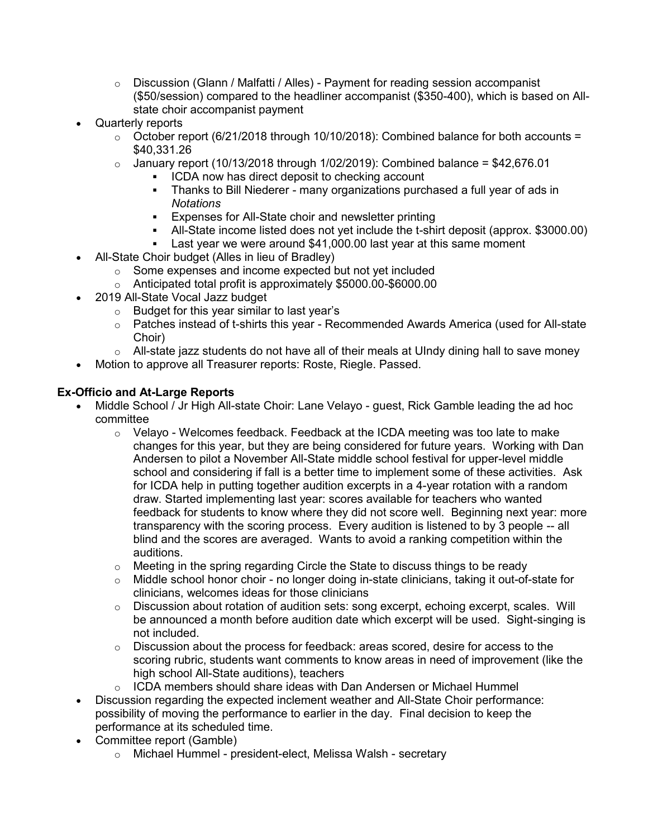- $\circ$  Discussion (Glann / Malfatti / Alles) Payment for reading session accompanist (\$50/session) compared to the headliner accompanist (\$350-400), which is based on Allstate choir accompanist payment
- Quarterly reports
	- $\circ$  October report (6/21/2018 through 10/10/2018): Combined balance for both accounts = \$40,331.26
	- $\circ$  January report (10/13/2018 through 1/02/2019): Combined balance = \$42,676.01
		- ICDA now has direct deposit to checking account
		- Thanks to Bill Niederer many organizations purchased a full year of ads in *Notations*
		- Expenses for All-State choir and newsletter printing
		- All-State income listed does not yet include the t-shirt deposit (approx. \$3000.00)
		- **EXELER** 1 Last year we were around \$41,000.00 last year at this same moment
	- All-State Choir budget (Alles in lieu of Bradley)
		- o Some expenses and income expected but not yet included
		- o Anticipated total profit is approximately \$5000.00-\$6000.00
- 2019 All-State Vocal Jazz budget
	- o Budget for this year similar to last year's
	- $\circ$  Patches instead of t-shirts this year Recommended Awards America (used for All-state Choir)
	- $\circ$  All-state jazz students do not have all of their meals at UIndy dining hall to save money
- Motion to approve all Treasurer reports: Roste, Riegle. Passed.

## **Ex-Officio and At-Large Reports**

- Middle School / Jr High All-state Choir: Lane Velayo guest, Rick Gamble leading the ad hoc committee
	- $\circ$  Velayo Welcomes feedback. Feedback at the ICDA meeting was too late to make changes for this year, but they are being considered for future years. Working with Dan Andersen to pilot a November All-State middle school festival for upper-level middle school and considering if fall is a better time to implement some of these activities. Ask for ICDA help in putting together audition excerpts in a 4-year rotation with a random draw. Started implementing last year: scores available for teachers who wanted feedback for students to know where they did not score well. Beginning next year: more transparency with the scoring process. Every audition is listened to by 3 people -- all blind and the scores are averaged. Wants to avoid a ranking competition within the auditions.
	- $\circ$  Meeting in the spring regarding Circle the State to discuss things to be ready
	- $\circ$  Middle school honor choir no longer doing in-state clinicians, taking it out-of-state for clinicians, welcomes ideas for those clinicians
	- $\circ$  Discussion about rotation of audition sets: song excerpt, echoing excerpt, scales. Will be announced a month before audition date which excerpt will be used. Sight-singing is not included.
	- $\circ$  Discussion about the process for feedback: areas scored, desire for access to the scoring rubric, students want comments to know areas in need of improvement (like the high school All-State auditions), teachers
	- $\circ$  ICDA members should share ideas with Dan Andersen or Michael Hummel
- Discussion regarding the expected inclement weather and All-State Choir performance: possibility of moving the performance to earlier in the day. Final decision to keep the performance at its scheduled time.
- Committee report (Gamble)
	- o Michael Hummel president-elect, Melissa Walsh secretary